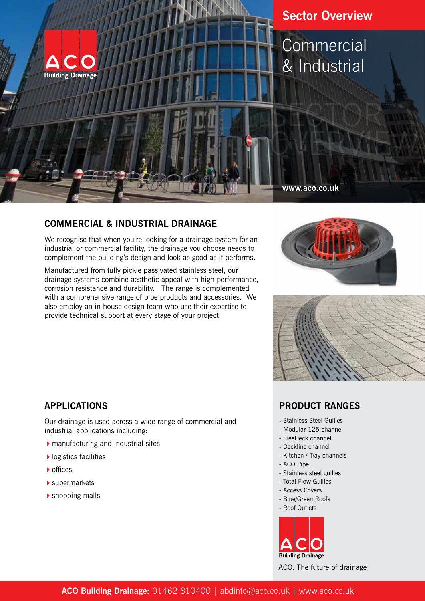

### **COMMERCIAL & INDUSTRIAL DRAINAGE**

We recognise that when you're looking for a drainage system for an industrial or commercial facility, the drainage you choose needs to complement the building's design and look as good as it performs.

Manufactured from fully pickle passivated stainless steel, our drainage systems combine aesthetic appeal with high performance, corrosion resistance and durability. The range is complemented with a comprehensive range of pipe products and accessories. We also employ an in-house design team who use their expertise to provide technical support at every stage of your project.





## **APPLICATIONS**

Our drainage is used across a wide range of commercial and industrial applications including:

- $\blacktriangleright$  manufacturing and industrial sites
- $\blacktriangleright$  logistics facilities
- ▶ offices
- $\blacktriangleright$  supermarkets
- $\blacktriangleright$  shopping malls

### **PRODUCT RANGES**

- Stainless Steel Gullies
- Modular 125 channel
- FreeDeck channel
- Deckline channel
- Kitchen / Tray channels
- ACO Pipe
- Stainless steel gullies
- Total Flow Gullies
- Access Covers
- Blue/Green Roofs
- Roof Outlets



ACO. The future of drainage